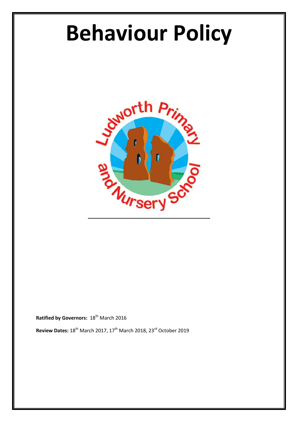# **Behaviour Policy**



**Ratified by Governors: 18th March 2016** 

**Review Dates:** 18th March 2017, 17th March 2018, 23rd October 2019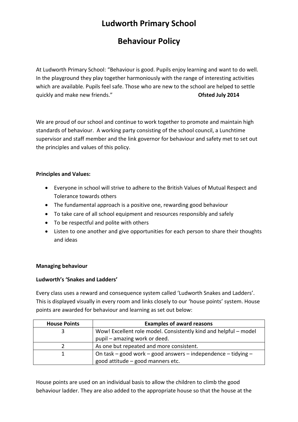# **Ludworth Primary School**

## **Behaviour Policy**

At Ludworth Primary School: "Behaviour is good. Pupils enjoy learning and want to do well. In the playground they play together harmoniously with the range of interesting activities which are available. Pupils feel safe. Those who are new to the school are helped to settle quickly and make new friends." **Ofsted July 2014** 

We are proud of our school and continue to work together to promote and maintain high standards of behaviour. A working party consisting of the school council, a Lunchtime supervisor and staff member and the link governor for behaviour and safety met to set out the principles and values of this policy.

#### **Principles and Values:**

- Everyone in school will strive to adhere to the British Values of Mutual Respect and Tolerance towards others
- The fundamental approach is a positive one, rewarding good behaviour
- To take care of all school equipment and resources responsibly and safely
- To be respectful and polite with others
- Listen to one another and give opportunities for each person to share their thoughts and ideas

#### **Managing behaviour**

#### **Ludworth's 'Snakes and Ladders'**

Every class uses a reward and consequence system called 'Ludworth Snakes and Ladders'. This is displayed visually in every room and links closely to our 'house points' system. House points are awarded for behaviour and learning as set out below:

| <b>House Points</b> | <b>Examples of award reasons</b>                                 |
|---------------------|------------------------------------------------------------------|
|                     | Wow! Excellent role model. Consistently kind and helpful – model |
|                     | pupil – amazing work or deed.                                    |
|                     | As one but repeated and more consistent.                         |
|                     | On task – good work – good answers – independence – tidying –    |
|                     | good attitude – good manners etc.                                |

House points are used on an individual basis to allow the children to climb the good behaviour ladder. They are also added to the appropriate house so that the house at the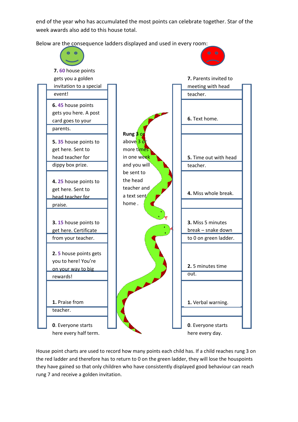end of the year who has accumulated the most points can celebrate together. Star of the week awards also add to this house total.

Below are the consequence ladders displayed and used in every room: **1.** Verbal warning. **2.** 5 minutes time out. **3.** Miss 5 minutes break – snake down to 0 on green ladder. **4.** Miss whole break. **5.** Time out with head teacher. **6.** Text home. **7.** Parents invited to meeting with head teacher. **0**. Everyone starts here every day. **0**. Everyone starts here every half term. **1.** Praise from teacher. **2. 5** house points gets you to here! You're on your way to big rewards! **3. 15** house points to get here. Certificate from your teacher. **4. 25** house points to get here. Sent to head teacher for praise. **5. 35** house points to get here. Sent to head teacher for dippy box prize. **6. 45** house points gets you here. A post card goes to your parents. **7. 60** house points gets you a golden invitation to a special event! **Rung 3** or above  $3$  or more times in one week and you will be sent to the head teacher and a text sent home .

House point charts are used to record how many points each child has. If a child reaches rung 3 on the red ladder and therefore has to return to 0 on the green ladder, they will lose the houspoints they have gained so that only children who have consistently displayed good behaviour can reach rung 7 and receive a golden invitation.